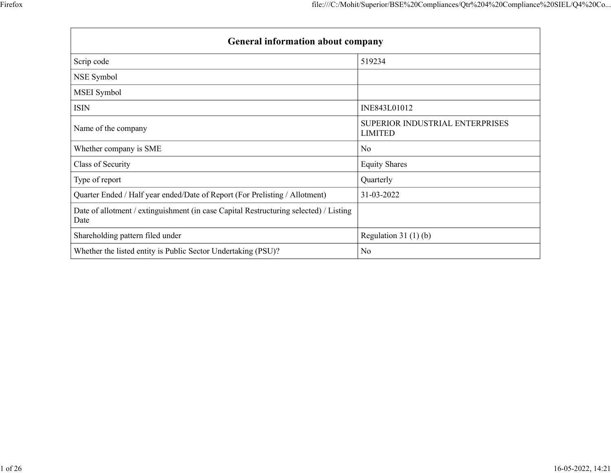|                                                                                               | file:///C:/Mohit/Superior/BSE%20Compliances/Qtr%204%20Compliance%20SIEL/Q4%20Co |
|-----------------------------------------------------------------------------------------------|---------------------------------------------------------------------------------|
|                                                                                               |                                                                                 |
| General information about company                                                             |                                                                                 |
|                                                                                               |                                                                                 |
| Scrip code                                                                                    | 519234                                                                          |
| NSE Symbol                                                                                    |                                                                                 |
| MSEI Symbol                                                                                   |                                                                                 |
| <b>ISIN</b>                                                                                   | INE843L01012                                                                    |
| Name of the company                                                                           | SUPERIOR INDUSTRIAL ENTERPRISES<br><b>LIMITED</b>                               |
| Whether company is SME                                                                        | No                                                                              |
| Class of Security                                                                             | <b>Equity Shares</b>                                                            |
| Type of report                                                                                | Quarterly                                                                       |
|                                                                                               | 31-03-2022                                                                      |
| Quarter Ended / Half year ended/Date of Report (For Prelisting / Allotment)                   |                                                                                 |
| Date of allotment / extinguishment (in case Capital Restructuring selected) / Listing<br>Date |                                                                                 |
| Shareholding pattern filed under                                                              | Regulation 31 $(1)(b)$                                                          |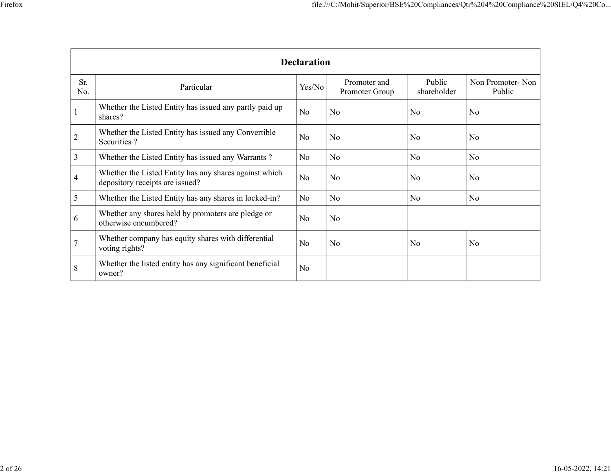|                                                                                              |                                                                                           |                    | file:///C:/Mohit/Superior/BSE%20Compliances/Qtr%204%20Compliance%20SIEL/Q4%20Co |                       |                            |
|----------------------------------------------------------------------------------------------|-------------------------------------------------------------------------------------------|--------------------|---------------------------------------------------------------------------------|-----------------------|----------------------------|
|                                                                                              |                                                                                           | <b>Declaration</b> |                                                                                 |                       |                            |
| Sr.<br>No.                                                                                   | Particular                                                                                | Yes/No             | Promoter and<br>Promoter Group                                                  | Public<br>shareholder | Non Promoter-Non<br>Public |
|                                                                                              | Whether the Listed Entity has issued any partly paid up<br>shares?                        | No                 | No                                                                              | No                    | No                         |
|                                                                                              |                                                                                           |                    |                                                                                 |                       |                            |
|                                                                                              | Whether the Listed Entity has issued any Convertible<br>Securities ?                      | No                 | No                                                                              | No                    | No                         |
|                                                                                              | Whether the Listed Entity has issued any Warrants?                                        | $\rm No$           | No                                                                              | $\rm No$              | No                         |
|                                                                                              | Whether the Listed Entity has any shares against which<br>depository receipts are issued? | $\rm No$           | $\overline{\text{No}}$                                                          | No                    | No                         |
|                                                                                              | Whether the Listed Entity has any shares in locked-in?                                    | $\rm No$           | No                                                                              | $\rm No$              | No                         |
|                                                                                              | Whether any shares held by promoters are pledge or<br>otherwise encumbered?               | No                 | $\overline{\text{No}}$                                                          |                       |                            |
| $\overline{2}$<br>$\overline{3}$<br>$\overline{4}$<br>$5\overline{)}$<br>6<br>$\overline{7}$ | Whether company has equity shares with differential<br>voting rights?                     | No                 | No                                                                              | $\rm No$              | No                         |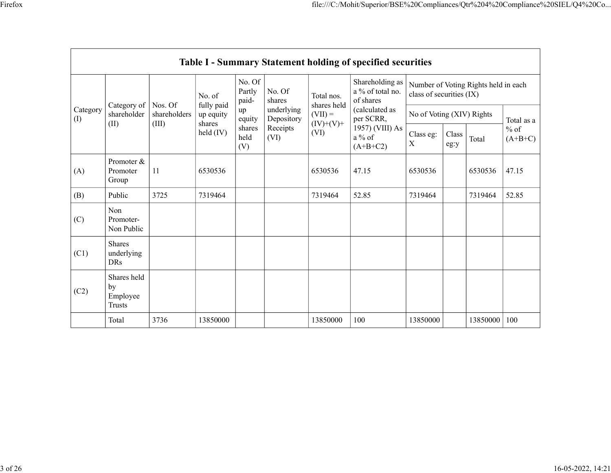|                 |                                         |              |                         |                           |                          |                          | file:///C:/Mohit/Superior/BSE%20Compliances/Qtr%204%20Compliance%20SIEL/Q4%20Co |                           |                                    |                                      |                     |
|-----------------|-----------------------------------------|--------------|-------------------------|---------------------------|--------------------------|--------------------------|---------------------------------------------------------------------------------|---------------------------|------------------------------------|--------------------------------------|---------------------|
|                 |                                         |              |                         |                           |                          |                          |                                                                                 |                           |                                    |                                      |                     |
|                 |                                         |              |                         |                           |                          |                          |                                                                                 |                           |                                    |                                      |                     |
|                 |                                         |              |                         |                           |                          |                          | Table I - Summary Statement holding of specified securities                     |                           |                                    |                                      |                     |
|                 |                                         |              | No. of                  | No. Of<br>Partly<br>paid- | No. Of<br>shares         | Total nos.               | Shareholding as  <br>a $\%$ of total no.<br>of shares                           | class of securities (IX)  |                                    | Number of Voting Rights held in each |                     |
| Category<br>(I) | Category of   Nos. Of<br>shareholder    | shareholders | fully paid<br>up equity | up<br>equity              | underlying<br>Depository | shares held<br>$(VII) =$ | (calculated as<br>per SCRR,                                                     | No of Voting (XIV) Rights |                                    |                                      | Total as a          |
|                 | (II)                                    | (III)        | shares<br>held (IV)     | shares<br>held<br>(V)     | Receipts<br>(VI)         | $(IV)+(V)+$<br>(VI)      | 1957) (VIII) As<br>a % of<br>$(A+B+C2)$                                         | Class eg:<br>$\mathbf X$  | Class<br>$\operatorname{\sf eg:y}$ | Total                                | $%$ of<br>$(A+B+C)$ |
| (A)             | Promoter &<br>Promoter<br>Group         | $11\,$       | 6530536                 |                           |                          | 6530536                  | 47.15                                                                           | 6530536                   |                                    | 6530536                              | 47.15               |
| (B)             | Public                                  | 3725         | 7319464                 |                           |                          | 7319464                  | 52.85                                                                           | 7319464                   |                                    | 7319464                              | 52.85               |
| (C)             | Non<br>Promoter-<br>Non Public          |              |                         |                           |                          |                          |                                                                                 |                           |                                    |                                      |                     |
| (C1)            | Shares<br>underlying<br><b>DRs</b>      |              |                         |                           |                          |                          |                                                                                 |                           |                                    |                                      |                     |
|                 | Shares held<br>by<br>Employee<br>Trusts |              |                         |                           |                          |                          |                                                                                 |                           |                                    |                                      |                     |
| (C2)            |                                         | 3736         | 13850000                |                           |                          | 13850000                 | $100\,$                                                                         | 13850000                  |                                    | 13850000 100                         |                     |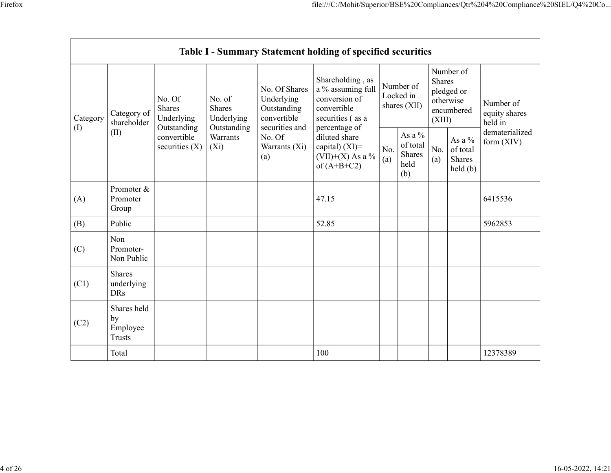|           |                                         |                                                      |                                | No. Of Shares                                    | file:///C:/Mohit/Superior/BSE%20Compliances/Qtr%204%20Compliance%20SIEL/Q4%20Co<br>Table I - Summary Statement holding of specified securities<br>Shareholding, as<br>a % assuming full | Number of                 |                                         | Shares | Number of                                                                                                                             |                                       |
|-----------|-----------------------------------------|------------------------------------------------------|--------------------------------|--------------------------------------------------|-----------------------------------------------------------------------------------------------------------------------------------------------------------------------------------------|---------------------------|-----------------------------------------|--------|---------------------------------------------------------------------------------------------------------------------------------------|---------------------------------------|
| Category  | Category of<br>shareholder              | No. Of<br>Shares<br>Underlying                       | No. of<br>Shares<br>Underlying | Underlying<br>Outstanding<br>convertible         | conversion of<br>convertible<br>securities (as a                                                                                                                                        | Locked in<br>shares (XII) |                                         | (XIII) | pledged or<br>otherwise<br>encumbered                                                                                                 | Number of<br>equity shares<br>held in |
| $\rm (I)$ | (II)                                    | Outstanding<br>convertible<br>securities (X) $ (Xi)$ | Outstanding<br>Warrants        | securities and<br>No. Of<br>Warrants (Xi)<br>(a) | percentage of<br>diluted share<br>capital) (XI)=<br>(VII)+(X) As a %<br>of (A+B+C2)                                                                                                     | (b)                       | As a $\%$<br>of total<br>Shares<br>held | (a)    | As a $\%$<br>$\begin{array}{ c c c } \hline \text{No.} & \text{of total} \\ \hline \text{(a)} & \text{Shares} \end{array}$<br>held(b) | dematerialized<br>form $(XIV)$        |
| (A)       | Promoter &<br>Promoter<br>Group         |                                                      |                                |                                                  | 47.15                                                                                                                                                                                   |                           |                                         |        |                                                                                                                                       | 6415536                               |
| (B)       | Public                                  |                                                      |                                |                                                  | 52.85                                                                                                                                                                                   |                           |                                         |        |                                                                                                                                       | 5962853                               |
| (C)       | Non<br>Promoter-<br>Non Public          |                                                      |                                |                                                  |                                                                                                                                                                                         |                           |                                         |        |                                                                                                                                       |                                       |
| (C1)      | Shares<br>underlying<br>DRs             |                                                      |                                |                                                  |                                                                                                                                                                                         |                           |                                         |        |                                                                                                                                       |                                       |
| (C2)      | Shares held<br>by<br>Employee<br>Trusts |                                                      |                                |                                                  |                                                                                                                                                                                         |                           |                                         |        |                                                                                                                                       |                                       |
|           | Total                                   |                                                      |                                |                                                  | $100\,$                                                                                                                                                                                 |                           |                                         |        |                                                                                                                                       | 12378389                              |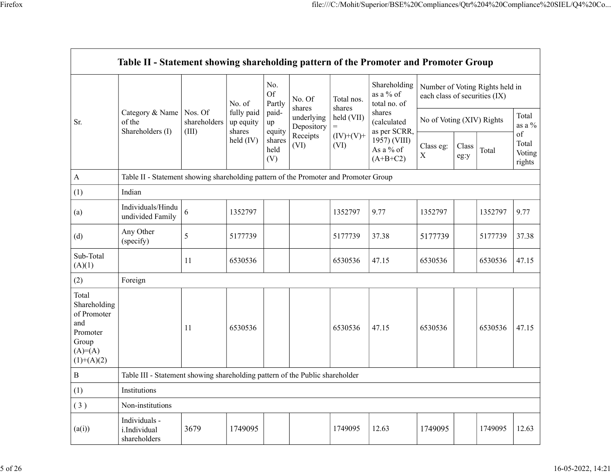|                                                                               |                                                                                      |                                         |                      |                 |                                         |                     |                             |                   | file:///C:/Mohit/Superior/BSE%20Compliances/Qtr%204%20Compliance%20SIEL/Q4%20Co |                  |
|-------------------------------------------------------------------------------|--------------------------------------------------------------------------------------|-----------------------------------------|----------------------|-----------------|-----------------------------------------|---------------------|-----------------------------|-------------------|---------------------------------------------------------------------------------|------------------|
|                                                                               |                                                                                      |                                         |                      |                 |                                         |                     |                             |                   |                                                                                 |                  |
|                                                                               |                                                                                      |                                         |                      |                 |                                         |                     |                             |                   |                                                                                 |                  |
|                                                                               | Table II - Statement showing shareholding pattern of the Promoter and Promoter Group |                                         |                      |                 |                                         |                     |                             |                   |                                                                                 |                  |
|                                                                               |                                                                                      |                                         |                      |                 |                                         |                     |                             |                   |                                                                                 |                  |
|                                                                               |                                                                                      |                                         |                      | No.<br>Of       | No. Of                                  | Total nos.          | Shareholding  <br>as a % of |                   | Number of Voting Rights held in<br>each class of securities (IX)                |                  |
|                                                                               | Category & Name   Nos. Of                                                            |                                         | No. of<br>fully paid | Partly<br>paid- | shares                                  | shares              | total no. of<br>shares      |                   |                                                                                 | Total            |
| Sr.                                                                           | of the<br>Shareholders (I)                                                           | shareholders $\vert$ up equity<br>(III) | shares               | up<br>equity    | underlying   held $(VII)$<br>Depository | $=$                 | (calculated<br>as per SCRR, |                   | No of Voting (XIV) Rights                                                       | as a $\%$        |
|                                                                               |                                                                                      |                                         | held $(IV)$          | shares<br>held  | Receipts<br>(VI)                        | $(IV)+(V)+$<br>(VI) | 1957) (VIII)                | Class eg:   Class |                                                                                 | of<br>Total      |
|                                                                               |                                                                                      |                                         |                      | (V)             |                                         |                     | As a % of<br>(A+B+C2)       | $\mathbf X$       | Total<br>eg:y                                                                   | Voting<br>rights |
| A                                                                             | Table II - Statement showing shareholding pattern of the Promoter and Promoter Group |                                         |                      |                 |                                         |                     |                             |                   |                                                                                 |                  |
| (1)                                                                           | Indian                                                                               |                                         |                      |                 |                                         |                     |                             |                   |                                                                                 |                  |
| (a)                                                                           | Individuals/Hindu<br>undivided Family $\Big 6\Big $                                  |                                         | 1352797              |                 |                                         | 1352797             | 9.77                        | 1352797           | 1352797                                                                         | 9.77             |
| (d)                                                                           | Any Other<br>(specify)                                                               | $5\overline{)}$                         | 5177739              |                 |                                         | 5177739             | 37.38                       | 5177739           | 5177739                                                                         | 37.38            |
| Sub-Total<br>(A)(1)                                                           |                                                                                      | 11                                      | 6530536              |                 |                                         | 6530536             | 47.15                       | 6530536           | 6530536                                                                         | 47.15            |
| (2)                                                                           | Foreign                                                                              |                                         |                      |                 |                                         |                     |                             |                   |                                                                                 |                  |
| Total<br>Shareholding<br>of Promoter<br>and<br>Promoter<br>Group<br>$(A)=(A)$ |                                                                                      | 11                                      | 6530536              |                 |                                         | 6530536             | 47.15                       | 6530536           | 6530536                                                                         | 47.15            |
| $(1)+(A)(2)$                                                                  |                                                                                      |                                         |                      |                 |                                         |                     |                             |                   |                                                                                 |                  |
| $\, {\bf B}$                                                                  | Table III - Statement showing shareholding pattern of the Public shareholder         |                                         |                      |                 |                                         |                     |                             |                   |                                                                                 |                  |
| (1)                                                                           | Institutions                                                                         |                                         |                      |                 |                                         |                     |                             |                   |                                                                                 |                  |
| (3)                                                                           | Non-institutions                                                                     |                                         |                      |                 |                                         |                     |                             |                   |                                                                                 |                  |
|                                                                               | Individuals -<br>i.Individual<br>shareholders                                        | 3679                                    | 1749095              |                 |                                         | 1749095             | 12.63                       | 1749095           | 1749095                                                                         | 12.63            |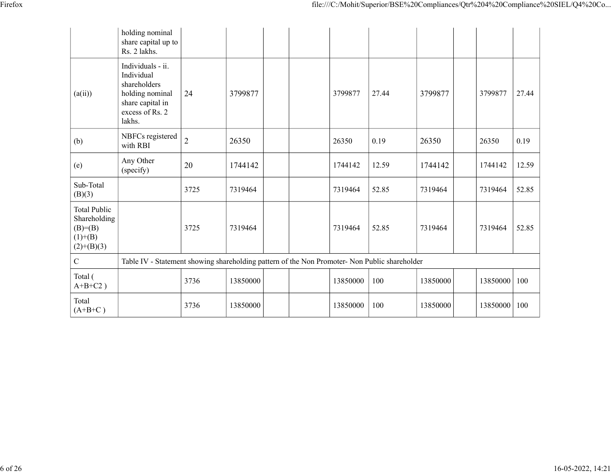|                                                                         |                                                                                                                     |                |          |                                                                                               |       | file:///C:/Mohit/Superior/BSE%20Compliances/Qtr%204%20Compliance%20SIEL/Q4%20Co |                |       |
|-------------------------------------------------------------------------|---------------------------------------------------------------------------------------------------------------------|----------------|----------|-----------------------------------------------------------------------------------------------|-------|---------------------------------------------------------------------------------|----------------|-------|
|                                                                         | holding nominal<br>share capital up to<br>Rs. 2 lakhs.                                                              |                |          |                                                                                               |       |                                                                                 |                |       |
| (a(ii))                                                                 | Individuals - ii.<br>Individual<br>shareholders<br>holding nominal<br>share capital in<br>excess of Rs. 2<br>lakhs. | 24             | 3799877  | 3799877                                                                                       | 27.44 | 3799877                                                                         | 3799877        | 27.44 |
| (b)                                                                     | NBFCs registered<br>with RBI                                                                                        | $\overline{2}$ | 26350    | 26350                                                                                         | 0.19  | 26350                                                                           | 26350          | 0.19  |
| (e)                                                                     | Any Other<br>(specify)                                                                                              | 20             | 1744142  | 1744142                                                                                       | 12.59 | 1744142                                                                         | 1744142        | 12.59 |
| Sub-Total<br>(B)(3)                                                     |                                                                                                                     | 3725           | 7319464  | 7319464                                                                                       | 52.85 | 7319464                                                                         | 7319464        | 52.85 |
| Total Public<br>Shareholding<br>$(B)= (B)$<br>$(1)+(B)$<br>$(2)+(B)(3)$ |                                                                                                                     | 3725           | 7319464  | 7319464                                                                                       | 52.85 | 7319464                                                                         | 7319464        | 52.85 |
| $\mathbf C$                                                             |                                                                                                                     |                |          | Table IV - Statement showing shareholding pattern of the Non Promoter- Non Public shareholder |       |                                                                                 |                |       |
| Total (<br>$A+B+C2$ )                                                   |                                                                                                                     | 3736           | 13850000 | 13850000   100                                                                                |       | 13850000                                                                        | 13850000 100   |       |
| Total                                                                   |                                                                                                                     | 3736           | 13850000 | 13850000   100                                                                                |       | 13850000                                                                        | 13850000   100 |       |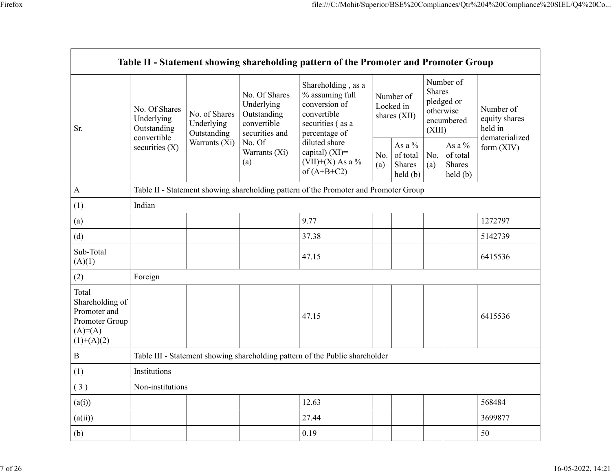|                                                                                         | Table II - Statement showing shareholding pattern of the Promoter and Promoter Group |               |                                                                             |                                                                                                            |     |                                                             |                  |                                                            |                                       |
|-----------------------------------------------------------------------------------------|--------------------------------------------------------------------------------------|---------------|-----------------------------------------------------------------------------|------------------------------------------------------------------------------------------------------------|-----|-------------------------------------------------------------|------------------|------------------------------------------------------------|---------------------------------------|
| Sr.                                                                                     | No. Of Shares<br>Underlying<br>Underlying<br>Outstanding<br>Outstanding              | No. of Shares | No. Of Shares<br>Underlying<br>Outstanding<br>convertible<br>securities and | Shareholding, as a<br>% assuming full<br>conversion of<br>convertible<br>securities (as a<br>percentage of |     | Number of<br>Locked in<br>shares (XII)                      | Shares<br>(XIII) | Number of<br>pledged or<br>otherwise<br>encumbered         | Number of<br>equity shares<br>held in |
|                                                                                         | convertible<br>securities (X)                                                        |               | Warrants $(X_i)$   No. Of<br>Warrants (Xi)<br>(a)                           | diluted share<br>capital) (XI)=<br>$(VII)+(X)$ As a %<br>of $(A+B+C2)$                                     | (a) | As a $\%$<br>No. of total $\vert$ No.<br>Shares<br>held (b) | (a)              | As a $\%$<br>of total<br>Shares<br>$\text{held}(\text{b})$ | dematerialized<br>form (XIV)          |
| $\bf{A}$                                                                                | Table II - Statement showing shareholding pattern of the Promoter and Promoter Group |               |                                                                             |                                                                                                            |     |                                                             |                  |                                                            |                                       |
| (1)                                                                                     | Indian                                                                               |               |                                                                             |                                                                                                            |     |                                                             |                  |                                                            |                                       |
| (a)                                                                                     |                                                                                      |               |                                                                             | 9.77                                                                                                       |     |                                                             |                  |                                                            | 1272797                               |
| (d)                                                                                     |                                                                                      |               |                                                                             | 37.38                                                                                                      |     |                                                             |                  |                                                            | 5142739                               |
| Sub-Total<br>(A)(1)                                                                     |                                                                                      |               |                                                                             | 47.15                                                                                                      |     |                                                             |                  |                                                            | 6415536                               |
| (2)                                                                                     | Foreign                                                                              |               |                                                                             |                                                                                                            |     |                                                             |                  |                                                            |                                       |
| Total<br>Shareholding of<br>Promoter and<br>Promoter Group<br>$(A)=(A)$<br>$(1)+(A)(2)$ |                                                                                      |               |                                                                             | 47.15                                                                                                      |     |                                                             |                  |                                                            | 6415536                               |
| $\, {\bf B}$                                                                            | Table III - Statement showing shareholding pattern of the Public shareholder         |               |                                                                             |                                                                                                            |     |                                                             |                  |                                                            |                                       |
| (1)                                                                                     | Institutions                                                                         |               |                                                                             |                                                                                                            |     |                                                             |                  |                                                            |                                       |
| (3)                                                                                     | Non-institutions                                                                     |               |                                                                             |                                                                                                            |     |                                                             |                  |                                                            |                                       |
| (a(i))                                                                                  |                                                                                      |               |                                                                             | 12.63                                                                                                      |     |                                                             |                  |                                                            | 568484                                |
| (a(ii))                                                                                 |                                                                                      |               |                                                                             | 27.44                                                                                                      |     |                                                             |                  |                                                            | 3699877                               |
| (b)                                                                                     |                                                                                      |               |                                                                             | 0.19                                                                                                       |     |                                                             |                  |                                                            | 50                                    |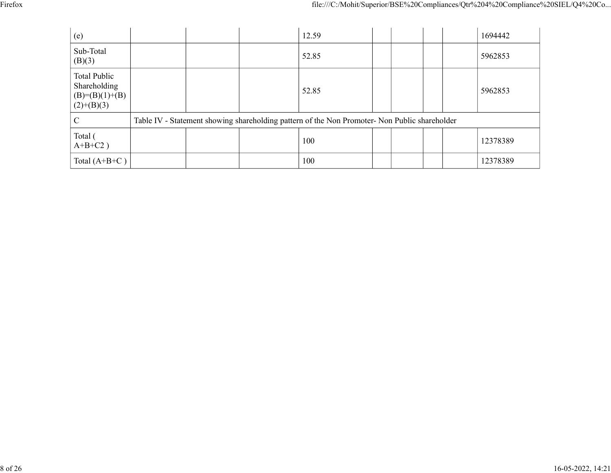|                                                  |                                                                                               | file:///C:/Mohit/Superior/BSE%20Compliances/Qtr%204%20Compliance%20SIEL/Q4%20Co |  |
|--------------------------------------------------|-----------------------------------------------------------------------------------------------|---------------------------------------------------------------------------------|--|
|                                                  |                                                                                               |                                                                                 |  |
|                                                  |                                                                                               |                                                                                 |  |
| (e)                                              | 12.59                                                                                         | 1694442                                                                         |  |
| Sub-Total<br>(B)(3)                              | 52.85                                                                                         | 5962853                                                                         |  |
| Total Public<br>Shareholding<br>$(B)=(B)(1)+(B)$ | 52.85                                                                                         | 5962853                                                                         |  |
| $(2)+(B)(3)$<br>$\mathbf C$                      | Table IV - Statement showing shareholding pattern of the Non Promoter- Non Public shareholder |                                                                                 |  |
| Total (<br>$A+B+C2$ )                            | 100                                                                                           | 12378389                                                                        |  |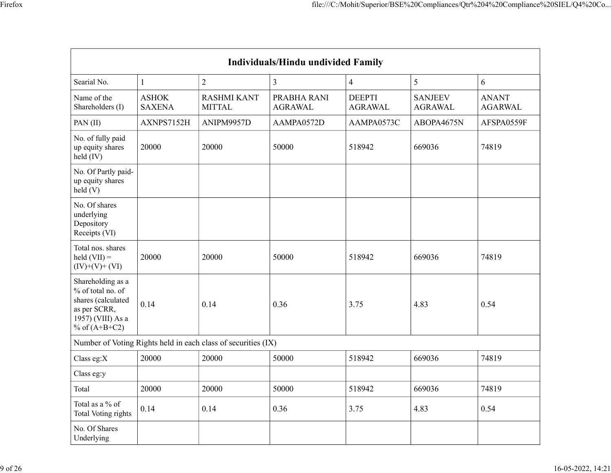|                                                                                                                      |                                |                                                               |                                    | file:///C:/Mohit/Superior/BSE%20Compliances/Qtr%204%20Compliance%20SIEL/Q4%20Co |                                  |                         |
|----------------------------------------------------------------------------------------------------------------------|--------------------------------|---------------------------------------------------------------|------------------------------------|---------------------------------------------------------------------------------|----------------------------------|-------------------------|
|                                                                                                                      |                                |                                                               |                                    |                                                                                 |                                  |                         |
|                                                                                                                      |                                |                                                               |                                    |                                                                                 |                                  |                         |
|                                                                                                                      |                                |                                                               |                                    |                                                                                 |                                  |                         |
|                                                                                                                      |                                |                                                               |                                    |                                                                                 |                                  |                         |
|                                                                                                                      |                                |                                                               | Individuals/Hindu undivided Family |                                                                                 |                                  |                         |
| Searial No.                                                                                                          | $\mathbf{1}$                   | $\overline{2}$                                                | $\mathfrak{Z}$                     | $\overline{4}$                                                                  | $\mathfrak{S}$                   | 6                       |
| Name of the<br>Shareholders (I)                                                                                      | ${\rm ASHOK}$<br><b>SAXENA</b> | <b>RASHMI KANT</b><br><b>MITTAL</b>                           | PRABHA RANI<br><b>AGRAWAL</b>      | <b>DEEPTI</b><br>AGRAWAL                                                        | <b>SANJEEV</b><br><b>AGRAWAL</b> | <b>ANANT</b><br>AGARWAL |
| PAN $(II)$                                                                                                           | AXNPS7152H                     | ANIPM9957D                                                    | AAMPA0572D                         | AAMPA0573C                                                                      | ABOPA4675N                       | AFSPA0559F              |
| No. of fully paid<br>up equity shares<br>held (IV)                                                                   | 20000                          | 20000                                                         | 50000                              | 518942                                                                          | 669036                           | 74819                   |
| No. Of Partly paid-<br>up equity shares<br>held(V)                                                                   |                                |                                                               |                                    |                                                                                 |                                  |                         |
| No. Of shares<br>underlying<br>Depository<br>Receipts (VI)                                                           |                                |                                                               |                                    |                                                                                 |                                  |                         |
| Total nos. shares<br>$\text{held (VII)} =$<br>$(IV)+(V)+(VI)$                                                        | 20000                          | 20000                                                         | 50000                              | 518942                                                                          | 669036                           | 74819                   |
| Shareholding as a<br>% of total no. of<br>shares (calculated<br>as per SCRR,<br>1957) (VIII) As a<br>% of $(A+B+C2)$ | 0.14                           | 0.14                                                          | 0.36                               | 3.75                                                                            | 4.83                             | 0.54                    |
|                                                                                                                      |                                | Number of Voting Rights held in each class of securities (IX) |                                    |                                                                                 |                                  |                         |
| Class eg:X                                                                                                           | 20000                          | 20000                                                         | 50000                              | 518942                                                                          | 669036                           | 74819                   |
| Class eg:y                                                                                                           |                                |                                                               |                                    |                                                                                 |                                  |                         |
| Total                                                                                                                | 20000                          | 20000                                                         | 50000                              | 518942                                                                          | 669036                           | 74819                   |
| Total as a $\%$ of<br>Total Voting rights                                                                            | 0.14                           | 0.14                                                          | 0.36                               | 3.75                                                                            | 4.83                             | 0.54                    |
| No. Of Shares<br>Underlying                                                                                          |                                |                                                               |                                    |                                                                                 |                                  |                         |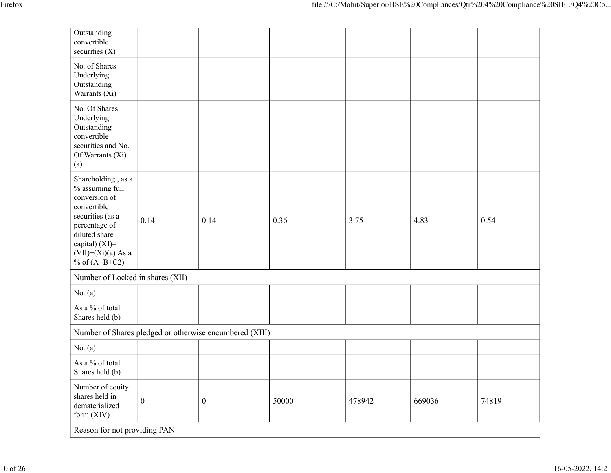|                                                                                                                 |              |                                                         |       | file:///C:/Mohit/Superior/BSE%20Compliances/Qtr%204%20Compliance%20SIEL/Q4%20Co |        |       |
|-----------------------------------------------------------------------------------------------------------------|--------------|---------------------------------------------------------|-------|---------------------------------------------------------------------------------|--------|-------|
|                                                                                                                 |              |                                                         |       |                                                                                 |        |       |
| Outstanding<br>convertible<br>securities $(X)$                                                                  |              |                                                         |       |                                                                                 |        |       |
| No. of Shares<br>Underlying<br>Outstanding<br>Warrants (Xi)                                                     |              |                                                         |       |                                                                                 |        |       |
| No. Of Shares                                                                                                   |              |                                                         |       |                                                                                 |        |       |
| Underlying<br>Outstanding<br>convertible                                                                        |              |                                                         |       |                                                                                 |        |       |
| securities and No.<br>Of Warrants (Xi)<br>(a)                                                                   |              |                                                         |       |                                                                                 |        |       |
| Shareholding , as a<br>$%$ assuming full<br>conversion of                                                       |              |                                                         |       |                                                                                 |        |       |
| convertible                                                                                                     |              |                                                         |       |                                                                                 |        |       |
| securities (as a<br>percentage of<br>diluted share<br>capital) (XI)=<br>$(VII)+(Xi)(a)$ As a<br>% of $(A+B+C2)$ | 0.14         | 0.14                                                    | 0.36  | 3.75                                                                            | 4.83   | 0.54  |
| Number of Locked in shares (XII)                                                                                |              |                                                         |       |                                                                                 |        |       |
| No. $(a)$                                                                                                       |              |                                                         |       |                                                                                 |        |       |
| As a $\%$ of total<br>Shares held (b)                                                                           |              |                                                         |       |                                                                                 |        |       |
|                                                                                                                 |              | Number of Shares pledged or otherwise encumbered (XIII) |       |                                                                                 |        |       |
| No. $(a)$                                                                                                       |              |                                                         |       |                                                                                 |        |       |
| As a % of total<br>Shares held (b)                                                                              |              |                                                         |       |                                                                                 |        |       |
| Number of equity<br>shares held in<br>dematerialized<br>form (XIV)                                              | $\mathbf{0}$ | $\boldsymbol{0}$                                        | 50000 | 478942                                                                          | 669036 | 74819 |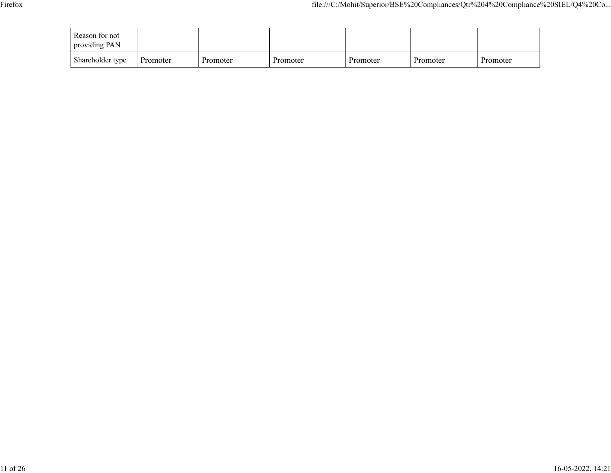|                                 |  | file:///C:/Mohit/Superior/BSE%20Compliances/Qtr%204%20Compliance%20SIEL/Q4%20Co |  |  |
|---------------------------------|--|---------------------------------------------------------------------------------|--|--|
| Reason for not<br>providing PAN |  |                                                                                 |  |  |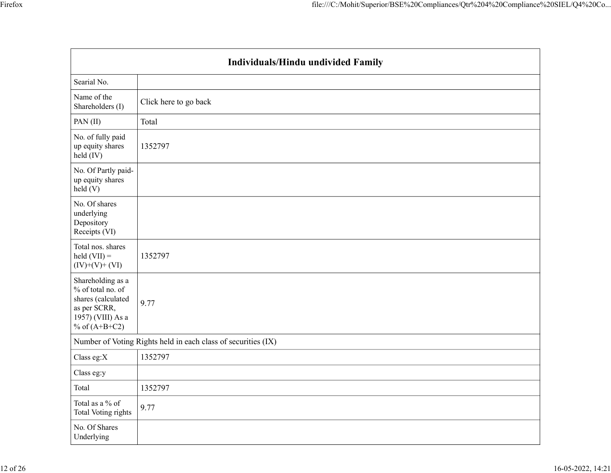|                                                                                                                         | file:///C:/Mohit/Superior/BSE%20Compliances/Qtr%204%20Compliance%20SIEL/Q4%20Co |
|-------------------------------------------------------------------------------------------------------------------------|---------------------------------------------------------------------------------|
|                                                                                                                         |                                                                                 |
|                                                                                                                         | Individuals/Hindu undivided Family                                              |
| Searial No.                                                                                                             |                                                                                 |
| Name of the<br>Shareholders (I)                                                                                         | Click here to go back                                                           |
| PAN(II)                                                                                                                 | Total                                                                           |
| No. of fully paid<br>up equity shares<br>held (IV)                                                                      | 1352797                                                                         |
| No. Of Partly paid-<br>up equity shares<br>held (V)                                                                     |                                                                                 |
| No. Of shares<br>underlying<br>Depository<br>Receipts (VI)                                                              |                                                                                 |
| Total nos. shares<br>$\text{held (VII)} =$<br>$(IV)+(V)+(VI)$                                                           | 1352797                                                                         |
| Shareholding as a<br>% of total no. of<br>shares (calculated<br>as per SCRR,<br>$1957$ ) (VIII) As a<br>% of $(A+B+C2)$ | 9.77                                                                            |
|                                                                                                                         | Number of Voting Rights held in each class of securities (IX)                   |
| Class eg: $X$                                                                                                           | 1352797                                                                         |
| Class eg:y                                                                                                              |                                                                                 |
| Total                                                                                                                   | 1352797                                                                         |
| Total as a $\%$ of<br>Total Voting rights                                                                               | 9.77                                                                            |
| No. Of Shares<br>Underlying                                                                                             |                                                                                 |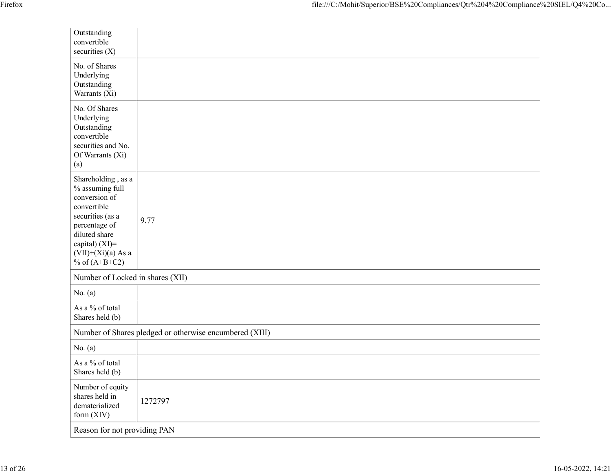| Firefox                                                                                                                                                                                   | file:///C:/Mohit/Superior/BSE%20Compliances/Qtr%204%20Compliance%20SIEL/Q4%20Co |
|-------------------------------------------------------------------------------------------------------------------------------------------------------------------------------------------|---------------------------------------------------------------------------------|
|                                                                                                                                                                                           |                                                                                 |
| Outstanding<br>convertible<br>securities (X)                                                                                                                                              |                                                                                 |
| No. of Shares<br>Underlying<br>Outstanding<br>Warrants (Xi)                                                                                                                               |                                                                                 |
| No. Of Shares<br>Underlying<br>Outstanding<br>convertible<br>securities and No.<br>Of Warrants (Xi)<br>(a)                                                                                |                                                                                 |
| Shareholding , as a<br>% assuming full<br>conversion of<br>convertible<br>securities (as a<br>percentage of<br>diluted share<br>capital) (XI)=<br>$(VII)+(Xi)(a)$ As a<br>% of $(A+B+C2)$ | 9.77                                                                            |
|                                                                                                                                                                                           | Number of Locked in shares (XII)                                                |
| No. $(a)$<br>As a $\%$ of total<br>Shares held (b)                                                                                                                                        |                                                                                 |
|                                                                                                                                                                                           | Number of Shares pledged or otherwise encumbered (XIII)                         |
| No. $(a)$                                                                                                                                                                                 |                                                                                 |
| As a % of total<br>Shares held (b)                                                                                                                                                        |                                                                                 |
| Number of equity<br>shares held in<br>dematerialized<br>form (XIV)                                                                                                                        | 1272797                                                                         |
|                                                                                                                                                                                           | Reason for not providing PAN                                                    |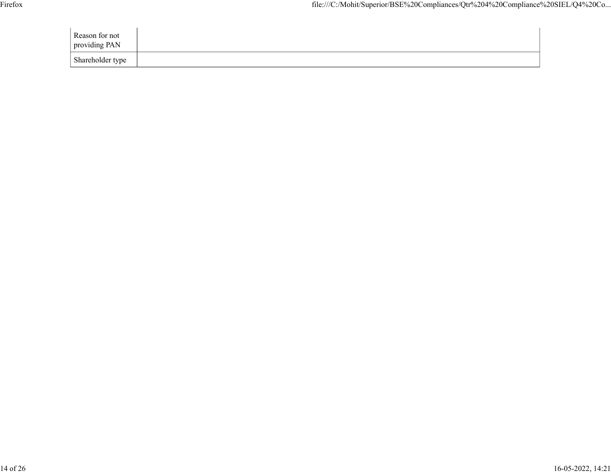| Firefox |                                 |  |  |  |  | file:///C:/Mohit/Superior/BSE%20Compliances/Qtr%204%20Compliance%20SIEL/Q4%20Co |
|---------|---------------------------------|--|--|--|--|---------------------------------------------------------------------------------|
|         | Reason for not<br>providing PAN |  |  |  |  |                                                                                 |
|         | Shareholder type                |  |  |  |  |                                                                                 |
|         |                                 |  |  |  |  |                                                                                 |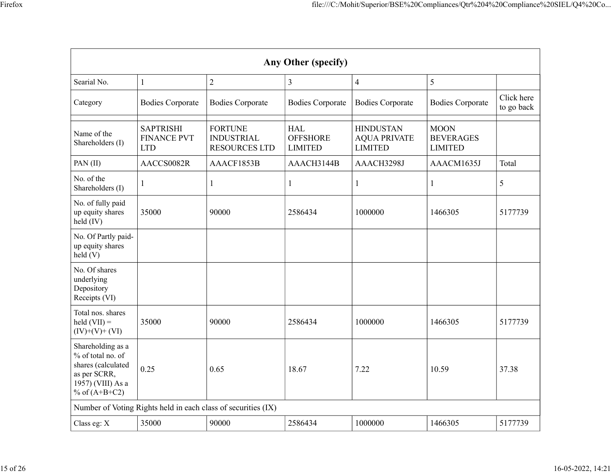|                                                                                                                      |                                                      |                                                               |                                                 |                                                           | file:///C:/Mohit/Superior/BSE%20Compliances/Qtr%204%20Compliance%20SIEL/Q4%20Co |                          |
|----------------------------------------------------------------------------------------------------------------------|------------------------------------------------------|---------------------------------------------------------------|-------------------------------------------------|-----------------------------------------------------------|---------------------------------------------------------------------------------|--------------------------|
|                                                                                                                      |                                                      |                                                               |                                                 |                                                           |                                                                                 |                          |
|                                                                                                                      |                                                      |                                                               |                                                 |                                                           |                                                                                 |                          |
|                                                                                                                      |                                                      |                                                               | Any Other (specify)                             |                                                           |                                                                                 |                          |
| Searial No.                                                                                                          |                                                      | $\overline{2}$                                                | 3                                               | $\overline{4}$                                            | $5\overline{)}$                                                                 |                          |
| Category                                                                                                             | <b>Bodies Corporate</b>                              | <b>Bodies Corporate</b>                                       | <b>Bodies Corporate</b>                         | <b>Bodies Corporate</b>                                   | <b>Bodies Corporate</b>                                                         | Click here<br>to go back |
| Name of the<br>Shareholders (I)                                                                                      | <b>SAPTRISHI</b><br><b>FINANCE PVT</b><br><b>LTD</b> | <b>FORTUNE</b><br><b>INDUSTRIAL</b><br><b>RESOURCES LTD</b>   | <b>HAL</b><br><b>OFFSHORE</b><br><b>LIMITED</b> | <b>HINDUSTAN</b><br><b>AQUA PRIVATE</b><br><b>LIMITED</b> | <b>MOON</b><br><b>BEVERAGES</b><br><b>LIMITED</b>                               |                          |
| PAN $(II)$                                                                                                           | AACCS0082R                                           | AAACF1853B                                                    | AAACH3144B                                      | AAACH3298J                                                | AAACM1635J                                                                      | Total                    |
| No. of the<br>Shareholders (I)                                                                                       |                                                      |                                                               |                                                 |                                                           |                                                                                 | $\mathfrak{H}$           |
| No. of fully paid<br>up equity shares<br>$\text{held (IV)}$                                                          | 35000                                                | 90000                                                         | 2586434                                         | 1000000                                                   | 1466305                                                                         | 5177739                  |
| No. Of Partly paid-<br>up equity shares<br>held(V)                                                                   |                                                      |                                                               |                                                 |                                                           |                                                                                 |                          |
| No. Of shares<br>underlying<br>Depository<br>Receipts (VI)                                                           |                                                      |                                                               |                                                 |                                                           |                                                                                 |                          |
| Total nos. shares<br>$\text{held (VII)} =$<br>$(IV)+(V)+(VI)$                                                        | 35000                                                | 90000                                                         | 2586434                                         | 1000000                                                   | 1466305                                                                         | 5177739                  |
| Shareholding as a<br>% of total no. of<br>shares (calculated<br>as per SCRR,<br>1957) (VIII) As a<br>% of $(A+B+C2)$ | $\vert$ 0.25                                         | 0.65                                                          | 18.67                                           | 7.22                                                      | 10.59                                                                           | 37.38                    |
|                                                                                                                      |                                                      | Number of Voting Rights held in each class of securities (IX) |                                                 |                                                           |                                                                                 |                          |
| Class eg: X                                                                                                          | 35000                                                | 90000                                                         | 2586434                                         | 1000000                                                   | 1466305                                                                         |                          |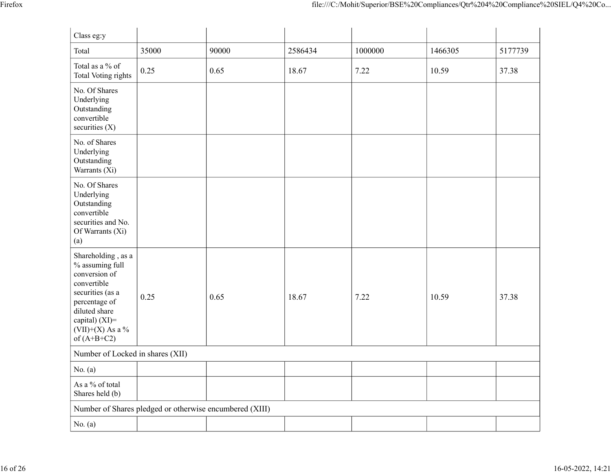|                                           |                                                         |       |         | file:///C:/Mohit/Superior/BSE%20Compliances/Qtr%204%20Compliance%20SIEL/Q4%20Co |         |         |
|-------------------------------------------|---------------------------------------------------------|-------|---------|---------------------------------------------------------------------------------|---------|---------|
|                                           |                                                         |       |         |                                                                                 |         |         |
| Class eg:y                                |                                                         |       |         |                                                                                 |         |         |
| Total                                     | 35000                                                   | 90000 | 2586434 | 1000000                                                                         | 1466305 | 5177739 |
| Total as a $\%$ of<br>Total Voting rights | 0.25                                                    | 0.65  | 18.67   | 7.22                                                                            | 10.59   | 37.38   |
| No. Of Shares                             |                                                         |       |         |                                                                                 |         |         |
| Underlying<br>Outstanding                 |                                                         |       |         |                                                                                 |         |         |
| convertible<br>securities $(X)$           |                                                         |       |         |                                                                                 |         |         |
| No. of Shares                             |                                                         |       |         |                                                                                 |         |         |
| Underlying<br>Outstanding                 |                                                         |       |         |                                                                                 |         |         |
| Warrants (Xi)                             |                                                         |       |         |                                                                                 |         |         |
| No. Of Shares<br>Underlying               |                                                         |       |         |                                                                                 |         |         |
| Outstanding                               |                                                         |       |         |                                                                                 |         |         |
| convertible<br>securities and No.         |                                                         |       |         |                                                                                 |         |         |
| Of Warrants (Xi)<br>(a)                   |                                                         |       |         |                                                                                 |         |         |
| Shareholding, as a                        |                                                         |       |         |                                                                                 |         |         |
| $\%$ assuming full                        |                                                         |       |         |                                                                                 |         |         |
| conversion of<br>convertible              |                                                         |       |         |                                                                                 |         |         |
| securities (as a                          | $\vert 0.25 \vert$                                      | 0.65  | 18.67   | 7.22                                                                            | 10.59   | 37.38   |
| percentage of<br>diluted share            |                                                         |       |         |                                                                                 |         |         |
| capital) $(XI)=$<br>(VII)+(X) As a $\%$   |                                                         |       |         |                                                                                 |         |         |
| of $(A+B+C2)$                             |                                                         |       |         |                                                                                 |         |         |
| Number of Locked in shares (XII)          |                                                         |       |         |                                                                                 |         |         |
| No. $(a)$                                 |                                                         |       |         |                                                                                 |         |         |
| As a $\%$ of total                        |                                                         |       |         |                                                                                 |         |         |
| Shares held (b)                           |                                                         |       |         |                                                                                 |         |         |
|                                           | Number of Shares pledged or otherwise encumbered (XIII) |       |         |                                                                                 |         |         |
| No. $(a)$                                 |                                                         |       |         |                                                                                 |         |         |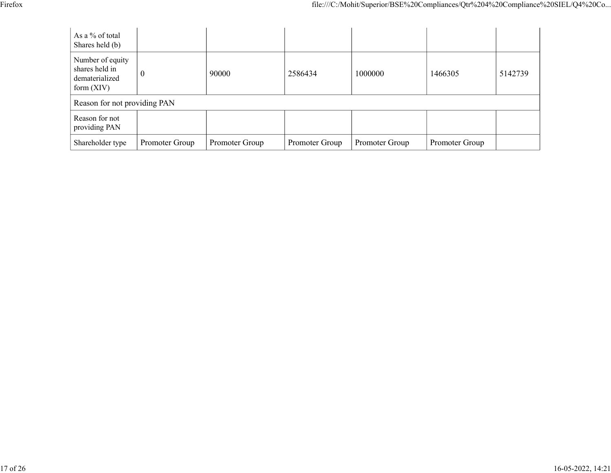|                                                                    |                  |       |         | file:///C:/Mohit/Superior/BSE%20Compliances/Qtr%204%20Compliance%20SIEL/Q4%20Co |         |         |
|--------------------------------------------------------------------|------------------|-------|---------|---------------------------------------------------------------------------------|---------|---------|
| As a % of total<br>Shares held (b)                                 |                  |       |         |                                                                                 |         |         |
| Number of equity<br>shares held in<br>dematerialized<br>form (XIV) | $\boldsymbol{0}$ | 90000 | 2586434 | 1000000                                                                         | 1466305 | 5142739 |
| Reason for not providing PAN                                       |                  |       |         |                                                                                 |         |         |
| Reason for not<br>providing PAN                                    |                  |       |         |                                                                                 |         |         |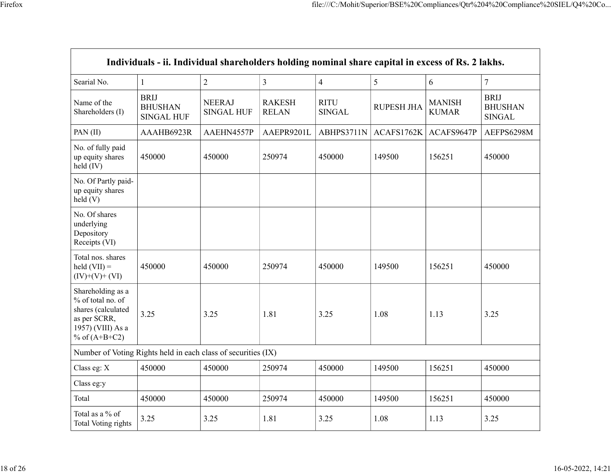|                                                                                                                      |                                                                                                   |                             |                               | file:///C:/Mohit/Superior/BSE%20Compliances/Qtr%204%20Compliance%20SIEL/Q4%20Co |                                      |                               |                                                |
|----------------------------------------------------------------------------------------------------------------------|---------------------------------------------------------------------------------------------------|-----------------------------|-------------------------------|---------------------------------------------------------------------------------|--------------------------------------|-------------------------------|------------------------------------------------|
|                                                                                                                      |                                                                                                   |                             |                               |                                                                                 |                                      |                               |                                                |
|                                                                                                                      |                                                                                                   |                             |                               |                                                                                 |                                      |                               |                                                |
|                                                                                                                      |                                                                                                   |                             |                               |                                                                                 |                                      |                               |                                                |
|                                                                                                                      | Individuals - ii. Individual shareholders holding nominal share capital in excess of Rs. 2 lakhs. |                             |                               |                                                                                 |                                      |                               |                                                |
| Searial No.                                                                                                          | 1                                                                                                 | $\overline{2}$              | $\overline{3}$                | $\overline{4}$                                                                  | $5\overline{)}$                      | 6                             | $\overline{7}$                                 |
| Name of the<br>Shareholders (I)                                                                                      | BRIJ<br><b>BHUSHAN</b><br><b>SINGAL HUF</b>                                                       | <b>NEERAJ</b><br>SINGAL HUF | <b>RAKESH</b><br><b>RELAN</b> | <b>RITU</b><br>SINGAL                                                           | <b>RUPESH JHA</b>                    | <b>MANISH</b><br><b>KUMAR</b> | <b>BRIJ</b><br><b>BHUSHAN</b><br><b>SINGAL</b> |
| PAN(II)                                                                                                              | AAAHB6923R                                                                                        | AAEHN4557P                  | AAEPR9201L                    |                                                                                 | ABHPS3711N   ACAFS1762K   ACAFS9647P |                               | AEFPS6298M                                     |
| No. of fully paid<br>up equity shares<br>$held$ (IV)                                                                 | 450000                                                                                            | 450000                      | 250974                        | 450000                                                                          | 149500                               | 156251                        | 450000                                         |
| No. Of Partly paid-<br>up equity shares<br>held(V)                                                                   |                                                                                                   |                             |                               |                                                                                 |                                      |                               |                                                |
| No. Of shares<br>underlying<br>Depository<br>Receipts (VI)                                                           |                                                                                                   |                             |                               |                                                                                 |                                      |                               |                                                |
| Total nos. shares<br>$\text{held (VII)} =$<br>$(IV)+(V)+(VI)$                                                        | 450000                                                                                            | 450000                      | 250974                        | 450000                                                                          | 149500                               | 156251                        | 450000                                         |
| Shareholding as a<br>% of total no. of<br>shares (calculated<br>as per SCRR,<br>1957) (VIII) As a<br>% of $(A+B+C2)$ | 3.25                                                                                              | 3.25                        | 1.81                          | 3.25                                                                            | 1.08                                 | 1.13                          | 3.25                                           |
| Number of Voting Rights held in each class of securities (IX)                                                        |                                                                                                   |                             |                               |                                                                                 |                                      |                               |                                                |
| Class eg: X                                                                                                          | 450000                                                                                            | 450000                      | 250974                        | 450000                                                                          | 149500                               | 156251                        | 450000                                         |
| Class eg:y                                                                                                           |                                                                                                   |                             |                               |                                                                                 |                                      |                               |                                                |
| Total                                                                                                                | 450000                                                                                            | 450000                      | 250974                        | 450000                                                                          | 149500                               | 156251                        | 450000                                         |
| Total as a $\%$ of                                                                                                   | 3.25                                                                                              | 3.25                        | 1.81                          | 3.25                                                                            | 1.08                                 | 1.13                          | 3.25                                           |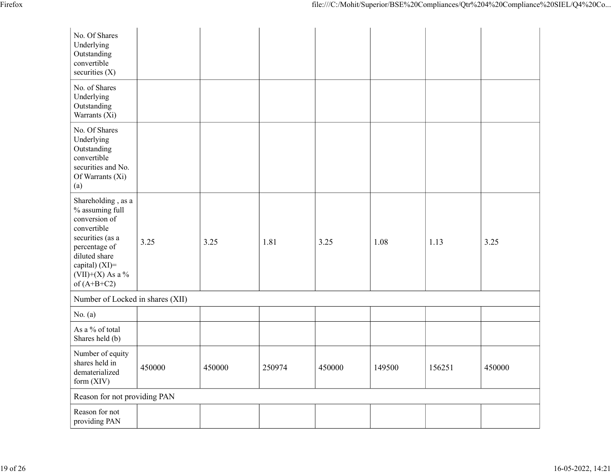|                                                                                                                                                                                         |                                  |        |        |        |        |        | file:///C:/Mohit/Superior/BSE%20Compliances/Qtr%204%20Compliance%20SIEL/Q4%20Co |
|-----------------------------------------------------------------------------------------------------------------------------------------------------------------------------------------|----------------------------------|--------|--------|--------|--------|--------|---------------------------------------------------------------------------------|
| No. Of Shares<br>Underlying<br>Outstanding<br>convertible<br>securities $(X)$                                                                                                           |                                  |        |        |        |        |        |                                                                                 |
| No. of Shares<br>Underlying<br>Outstanding<br>Warrants (Xi)                                                                                                                             |                                  |        |        |        |        |        |                                                                                 |
| No. Of Shares<br>Underlying<br>Outstanding<br>convertible<br>securities and No.<br>Of Warrants (Xi)<br>$\left( \text{a}\right)$                                                         |                                  |        |        |        |        |        |                                                                                 |
| Shareholding, as a<br>$\%$ assuming full<br>conversion of<br>convertible<br>securities (as a<br>percentage of<br>diluted share<br>capital) (XI)=<br>$(VII)+(X)$ As a %<br>of $(A+B+C2)$ | 3.25                             | 3.25   | 1.81   | 3.25   | 1.08   | 1.13   | 3.25                                                                            |
| No. $(a)$                                                                                                                                                                               | Number of Locked in shares (XII) |        |        |        |        |        |                                                                                 |
| As a % of total<br>Shares held (b)                                                                                                                                                      |                                  |        |        |        |        |        |                                                                                 |
| Number of equity<br>shares held in<br>dematerialized<br>form (XIV)                                                                                                                      | 450000                           | 450000 | 250974 | 450000 | 149500 | 156251 | 450000                                                                          |
| Reason for not providing PAN                                                                                                                                                            |                                  |        |        |        |        |        |                                                                                 |
| Reason for not<br>providing PAN                                                                                                                                                         |                                  |        |        |        |        |        |                                                                                 |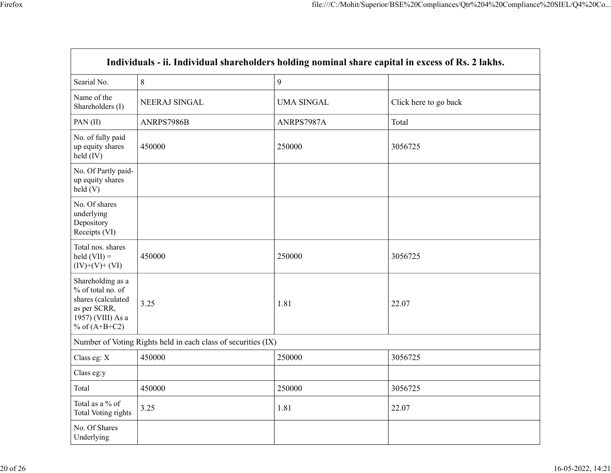|                                                                                                                      |                                                               |                   | file:///C:/Mohit/Superior/BSE%20Compliances/Qtr%204%20Compliance%20SIEL/Q4%20Co                   |
|----------------------------------------------------------------------------------------------------------------------|---------------------------------------------------------------|-------------------|---------------------------------------------------------------------------------------------------|
|                                                                                                                      |                                                               |                   |                                                                                                   |
|                                                                                                                      |                                                               |                   |                                                                                                   |
|                                                                                                                      |                                                               |                   |                                                                                                   |
|                                                                                                                      |                                                               |                   | Individuals - ii. Individual shareholders holding nominal share capital in excess of Rs. 2 lakhs. |
| Searial No.                                                                                                          | $\, 8$                                                        | 9                 |                                                                                                   |
| Name of the                                                                                                          |                                                               |                   |                                                                                                   |
| Shareholders (I)                                                                                                     | NEERAJ SINGAL                                                 | <b>UMA SINGAL</b> | Click here to go back                                                                             |
| PAN(II)                                                                                                              | ANRPS7986B                                                    | ANRPS7987A        | Total                                                                                             |
| No. of fully paid<br>up equity shares<br>held (IV)                                                                   | 450000                                                        | 250000            | 3056725                                                                                           |
| No. Of Partly paid-<br>up equity shares<br>held(V)                                                                   |                                                               |                   |                                                                                                   |
| No. Of shares<br>underlying<br>Depository<br>Receipts (VI)                                                           |                                                               |                   |                                                                                                   |
| Total nos. shares<br>$\text{held (VII)} =$<br>$(IV)+(V)+(VI)$                                                        | 450000                                                        | 250000            | 3056725                                                                                           |
| Shareholding as a<br>% of total no. of<br>shares (calculated<br>as per SCRR,<br>1957) (VIII) As a<br>% of $(A+B+C2)$ | 3.25                                                          | 1.81              | 22.07                                                                                             |
|                                                                                                                      | Number of Voting Rights held in each class of securities (IX) |                   |                                                                                                   |
| Class eg: X                                                                                                          | 450000                                                        | 250000            | 3056725                                                                                           |
| Class eg:y                                                                                                           |                                                               |                   |                                                                                                   |
| Total                                                                                                                | 450000                                                        | 250000            | 3056725                                                                                           |
| Total as a $\%$ of<br>Total Voting rights                                                                            | 3.25                                                          | 1.81              | 22.07                                                                                             |
| No. Of Shares                                                                                                        |                                                               |                   |                                                                                                   |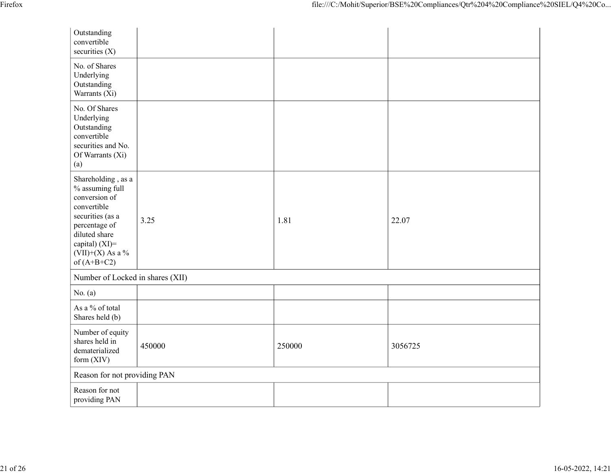| Firefox |                                                         |        |        | file:///C:/Mohit/Superior/BSE%20Compliances/Qtr%204%20Compliance%20SIEL/Q4%20Co |  |
|---------|---------------------------------------------------------|--------|--------|---------------------------------------------------------------------------------|--|
|         |                                                         |        |        |                                                                                 |  |
|         | Outstanding<br>convertible                              |        |        |                                                                                 |  |
|         | securities (X)                                          |        |        |                                                                                 |  |
|         | No. of Shares<br>Underlying                             |        |        |                                                                                 |  |
|         | Outstanding<br>Warrants (Xi)                            |        |        |                                                                                 |  |
|         | No. Of Shares<br>Underlying                             |        |        |                                                                                 |  |
|         | Outstanding<br>convertible                              |        |        |                                                                                 |  |
|         | securities and No.<br>Of Warrants (Xi)                  |        |        |                                                                                 |  |
|         | (a)                                                     |        |        |                                                                                 |  |
|         | Shareholding , as a<br>% assuming full<br>conversion of |        |        |                                                                                 |  |
|         | convertible                                             |        |        |                                                                                 |  |
|         | securities (as a<br>percentage of                       | 3.25   | 1.81   | 22.07                                                                           |  |
|         | diluted share<br>capital) (XI)=                         |        |        |                                                                                 |  |
|         | $(VII)+(X)$ As a %<br>of $(A+B+C2)$                     |        |        |                                                                                 |  |
|         | Number of Locked in shares (XII)                        |        |        |                                                                                 |  |
|         | No. $(a)$                                               |        |        |                                                                                 |  |
|         | As a $\%$ of total<br>Shares held (b)                   |        |        |                                                                                 |  |
|         | Number of equity<br>shares held in                      |        |        |                                                                                 |  |
|         | dematerialized<br>form (XIV)                            | 450000 | 250000 | 3056725                                                                         |  |
|         | Reason for not providing PAN                            |        |        |                                                                                 |  |
|         | Reason for not                                          |        |        |                                                                                 |  |
|         | providing PAN                                           |        |        |                                                                                 |  |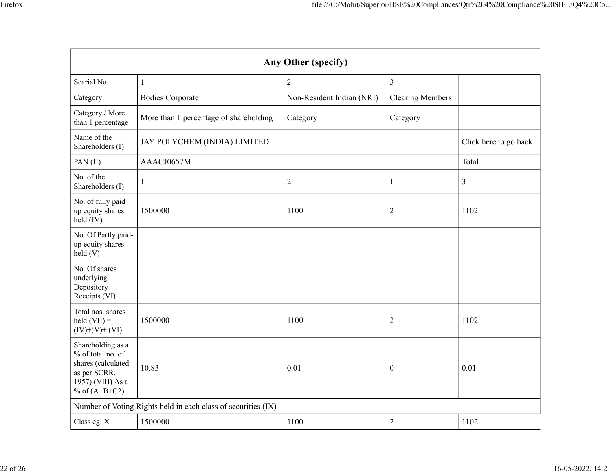|                                                                                                                      |                                                               |                           |                         | file:///C:/Mohit/Superior/BSE%20Compliances/Qtr%204%20Compliance%20SIEL/Q4%20Co |
|----------------------------------------------------------------------------------------------------------------------|---------------------------------------------------------------|---------------------------|-------------------------|---------------------------------------------------------------------------------|
|                                                                                                                      |                                                               |                           |                         |                                                                                 |
|                                                                                                                      |                                                               |                           |                         |                                                                                 |
|                                                                                                                      |                                                               | Any Other (specify)       |                         |                                                                                 |
| Searial No.                                                                                                          |                                                               | $\sqrt{2}$                | $\mathfrak{Z}$          |                                                                                 |
| Category<br>Category / More                                                                                          | <b>Bodies Corporate</b>                                       | Non-Resident Indian (NRI) | <b>Clearing Members</b> |                                                                                 |
| than 1 percentage                                                                                                    | More than 1 percentage of shareholding                        | Category                  | Category                |                                                                                 |
| Name of the<br>Shareholders (I)                                                                                      | JAY POLYCHEM (INDIA) LIMITED                                  |                           |                         | Click here to go back                                                           |
| PAN(II)                                                                                                              | AAACJ0657M                                                    |                           |                         | Total                                                                           |
| No. of the<br>Shareholders (I)                                                                                       |                                                               | $\sqrt{2}$                |                         | 3                                                                               |
| No. of fully paid<br>up equity shares<br>$\text{held} (IV)$                                                          | 1500000                                                       | 1100                      | $\overline{2}$          | 1102                                                                            |
| No. Of Partly paid-<br>up equity shares<br>$\text{held}$ (V)                                                         |                                                               |                           |                         |                                                                                 |
| No. Of shares<br>underlying<br>Depository<br>Receipts (VI)                                                           |                                                               |                           |                         |                                                                                 |
| Total nos. shares<br>$\text{held (VII)} =$<br>$(IV)+(V)+(VI)$                                                        | 1500000                                                       | 1100                      | $\mathbf{2}$            | 1102                                                                            |
| Shareholding as a<br>% of total no. of<br>shares (calculated<br>as per SCRR,<br>1957) (VIII) As a<br>% of $(A+B+C2)$ | 10.83                                                         | $\vert 0.01 \vert$        | $\boldsymbol{0}$        | $0.01\,$                                                                        |
|                                                                                                                      | Number of Voting Rights held in each class of securities (IX) |                           |                         |                                                                                 |
| Class eg: X                                                                                                          | 1500000                                                       | 1100                      | $\overline{c}$          | 1102                                                                            |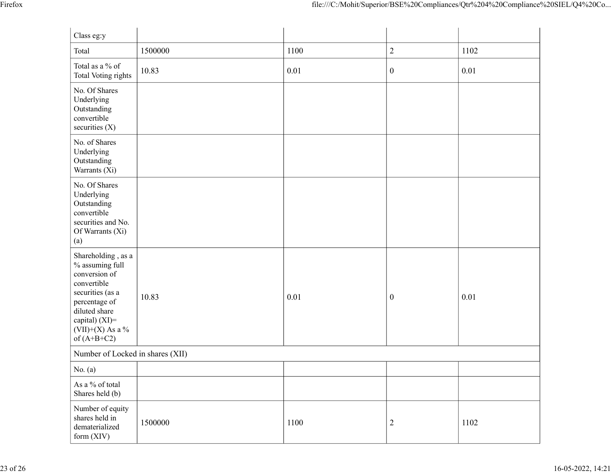|                                                                                                                                                                                           |         |      |                  | file:///C:/Mohit/Superior/BSE%20Compliances/Qtr%204%20Compliance%20SIEL/Q4%20Co |
|-------------------------------------------------------------------------------------------------------------------------------------------------------------------------------------------|---------|------|------------------|---------------------------------------------------------------------------------|
| Class eg:y                                                                                                                                                                                |         |      |                  |                                                                                 |
| Total                                                                                                                                                                                     | 1500000 | 1100 | 2                | 1102                                                                            |
| Total as a $\%$ of<br>Total Voting rights                                                                                                                                                 | 10.83   | 0.01 | $\mathbf{0}$     | 0.01                                                                            |
| No. Of Shares<br>Underlying<br>Outstanding<br>convertible<br>securities $(X)$                                                                                                             |         |      |                  |                                                                                 |
| No. of Shares<br>Underlying<br>Outstanding<br>Warrants $(X_i)$                                                                                                                            |         |      |                  |                                                                                 |
| No. Of Shares<br>Underlying<br>Outstanding<br>convertible<br>securities and No.<br>Of Warrants (Xi)<br>(a)                                                                                |         |      |                  |                                                                                 |
| Shareholding , as a<br>$\%$ assuming full<br>conversion of<br>convertible<br>securities (as a<br>percentage of<br>diluted share<br>capital) (XI)=<br>(VII)+(X) As a $\%$<br>of $(A+B+C2)$ | 10.83   | 0.01 | $\boldsymbol{0}$ | $0.01\,$                                                                        |
| Number of Locked in shares (XII)                                                                                                                                                          |         |      |                  |                                                                                 |
| No. $(a)$<br>As a % of total<br>Shares held (b)                                                                                                                                           |         |      |                  |                                                                                 |
| Number of equity<br>shares held in<br>dematerialized<br>form (XIV)                                                                                                                        | 1500000 | 1100 | $\overline{2}$   | 1102                                                                            |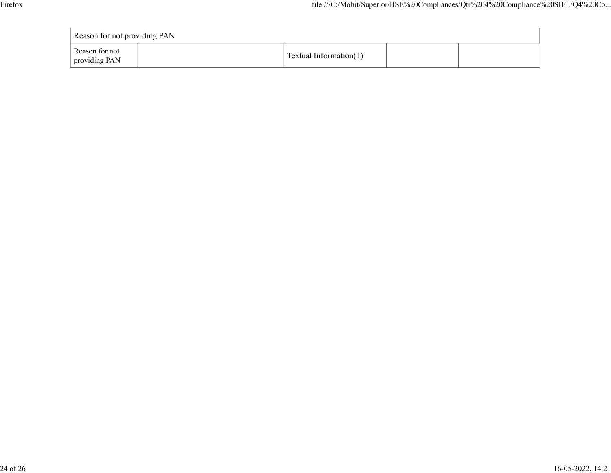| Firefox |                                 |  |                        | file:///C:/Mohit/Superior/BSE%20Compliances/Qtr%204%20Compliance%20SIEL/Q4%20Co |  |  |  |
|---------|---------------------------------|--|------------------------|---------------------------------------------------------------------------------|--|--|--|
|         |                                 |  |                        |                                                                                 |  |  |  |
|         | Reason for not providing PAN    |  |                        |                                                                                 |  |  |  |
|         | Reason for not<br>providing PAN |  | Textual Information(1) |                                                                                 |  |  |  |
|         |                                 |  |                        |                                                                                 |  |  |  |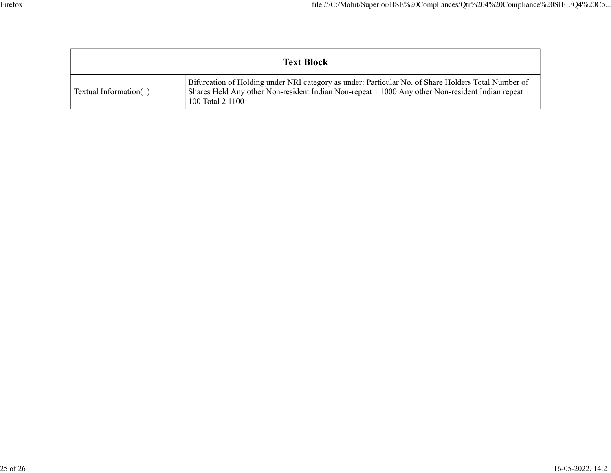| file:///C:/Mohit/Superior/BSE%20Compliances/Qtr%204%20Compliance%20SIEL/Q4%20Co |
|---------------------------------------------------------------------------------|
|                                                                                 |
|                                                                                 |
| <b>Text Block</b>                                                               |